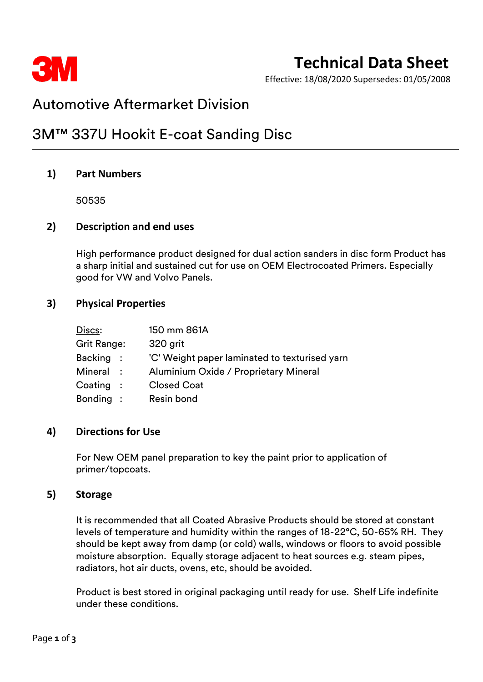

# **Technical Data Sheet**

Effective: 18/08/2020 Supersedes: 01/05/2008

# Automotive Aftermarket Division

# 3M™ 337U Hookit E-coat Sanding Disc

# **1) Part Numbers**

50535

### **2) Description and end uses**

High performance product designed for dual action sanders in disc form Product has a sharp initial and sustained cut for use on OEM Electrocoated Primers. Especially good for VW and Volvo Panels.

### **3) Physical Properties**

| Discs:             | 150 mm 861A                                   |
|--------------------|-----------------------------------------------|
| Grit Range:        | 320 grit                                      |
| Backing :          | 'C' Weight paper laminated to texturised yarn |
| Mineral :          | Aluminium Oxide / Proprietary Mineral         |
| $\text{Coating}$ : | <b>Closed Coat</b>                            |
| Bonding :          | Resin bond                                    |

#### **4) Directions for Use**

For New OEM panel preparation to key the paint prior to application of primer/topcoats.

#### **5) Storage**

It is recommended that all Coated Abrasive Products should be stored at constant levels of temperature and humidity within the ranges of 18-22°C, 50-65% RH. They should be kept away from damp (or cold) walls, windows or floors to avoid possible moisture absorption. Equally storage adjacent to heat sources e.g. steam pipes, radiators, hot air ducts, ovens, etc, should be avoided.

Product is best stored in original packaging until ready for use. Shelf Life indefinite under these conditions.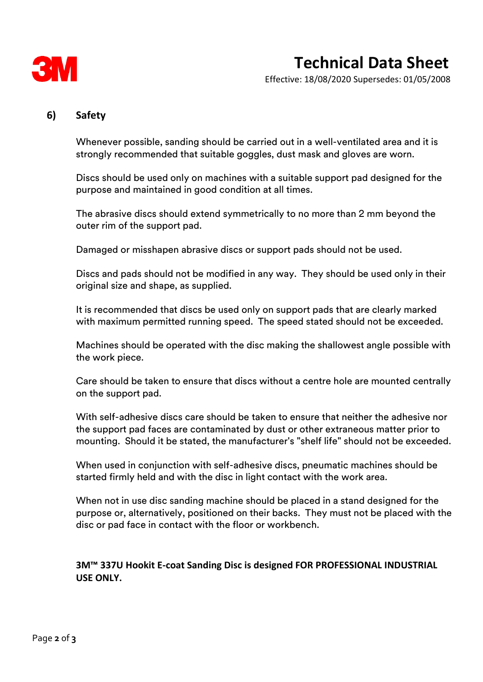

Effective: 18/08/2020 Supersedes: 01/05/2008

# **6) Safety**

Whenever possible, sanding should be carried out in a well-ventilated area and it is strongly recommended that suitable goggles, dust mask and gloves are worn.

Discs should be used only on machines with a suitable support pad designed for the purpose and maintained in good condition at all times.

The abrasive discs should extend symmetrically to no more than 2 mm beyond the outer rim of the support pad.

Damaged or misshapen abrasive discs or support pads should not be used.

Discs and pads should not be modified in any way. They should be used only in their original size and shape, as supplied.

It is recommended that discs be used only on support pads that are clearly marked with maximum permitted running speed. The speed stated should not be exceeded.

Machines should be operated with the disc making the shallowest angle possible with the work piece.

Care should be taken to ensure that discs without a centre hole are mounted centrally on the support pad.

With self-adhesive discs care should be taken to ensure that neither the adhesive nor the support pad faces are contaminated by dust or other extraneous matter prior to mounting. Should it be stated, the manufacturer's "shelf life" should not be exceeded.

When used in conjunction with self-adhesive discs, pneumatic machines should be started firmly held and with the disc in light contact with the work area.

When not in use disc sanding machine should be placed in a stand designed for the purpose or, alternatively, positioned on their backs. They must not be placed with the disc or pad face in contact with the floor or workbench.

# **3M™ 337U Hookit E-coat Sanding Disc is designed FOR PROFESSIONAL INDUSTRIAL USE ONLY.**